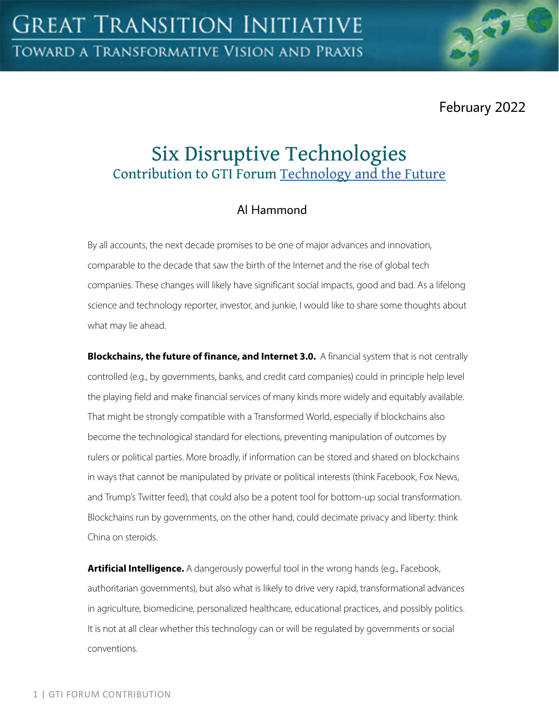February 2022

# Six Disruptive Technologies Contribution to GTI Forum [Technology and the Future](https://greattransition.org/gti-forum/tech-and-the-future)

## Al Hammond

By all accounts, the next decade promises to be one of major advances and innovation, comparable to the decade that saw the birth of the Internet and the rise of global tech companies. These changes will likely have significant social impacts, good and bad. As a lifelong science and technology reporter, investor, and junkie, I would like to share some thoughts about what may lie ahead.

**Blockchains, the future of finance, and Internet 3.0.** A financial system that is not centrally controlled (e.g., by governments, banks, and credit card companies) could in principle help level the playing field and make financial services of many kinds more widely and equitably available. That might be strongly compatible with a Transformed World, especially if blockchains also become the technological standard for elections, preventing manipulation of outcomes by rulers or political parties. More broadly, if information can be stored and shared on blockchains in ways that cannot be manipulated by private or political interests (think Facebook, Fox News, and Trump's Twitter feed), that could also be a potent tool for bottom-up social transformation. Blockchains run by governments, on the other hand, could decimate privacy and liberty: think China on steroids.

**Artificial Intelligence.** A dangerously powerful tool in the wrong hands (e.g., Facebook, authoritarian governments), but also what is likely to drive very rapid, transformational advances in agriculture, biomedicine, personalized healthcare, educational practices, and possibly politics. It is not at all clear whether this technology can or will be regulated by governments or social conventions.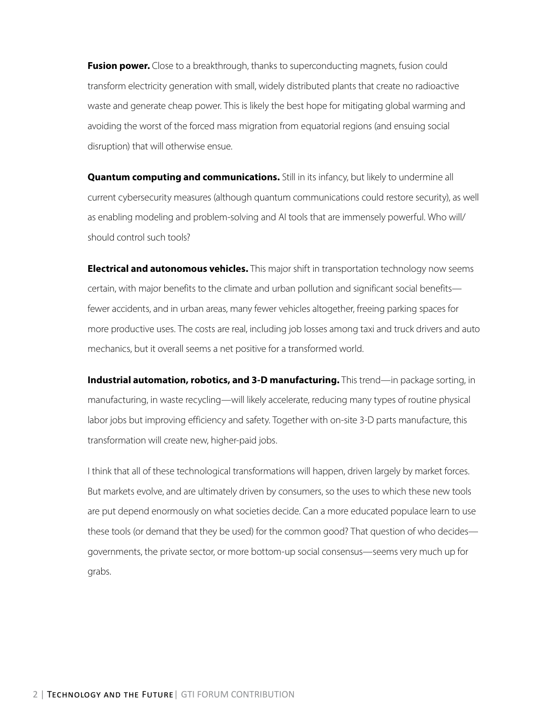**Fusion power.** Close to a breakthrough, thanks to superconducting magnets, fusion could transform electricity generation with small, widely distributed plants that create no radioactive waste and generate cheap power. This is likely the best hope for mitigating global warming and avoiding the worst of the forced mass migration from equatorial regions (and ensuing social disruption) that will otherwise ensue.

**Quantum computing and communications.** Still in its infancy, but likely to undermine all current cybersecurity measures (although quantum communications could restore security), as well as enabling modeling and problem-solving and AI tools that are immensely powerful. Who will/ should control such tools?

**Electrical and autonomous vehicles.** This major shift in transportation technology now seems certain, with major benefits to the climate and urban pollution and significant social benefits fewer accidents, and in urban areas, many fewer vehicles altogether, freeing parking spaces for more productive uses. The costs are real, including job losses among taxi and truck drivers and auto mechanics, but it overall seems a net positive for a transformed world.

**Industrial automation, robotics, and 3-D manufacturing.** This trend—in package sorting, in manufacturing, in waste recycling—will likely accelerate, reducing many types of routine physical labor jobs but improving efficiency and safety. Together with on-site 3-D parts manufacture, this transformation will create new, higher-paid jobs.

I think that all of these technological transformations will happen, driven largely by market forces. But markets evolve, and are ultimately driven by consumers, so the uses to which these new tools are put depend enormously on what societies decide. Can a more educated populace learn to use these tools (or demand that they be used) for the common good? That question of who decides governments, the private sector, or more bottom-up social consensus—seems very much up for grabs.